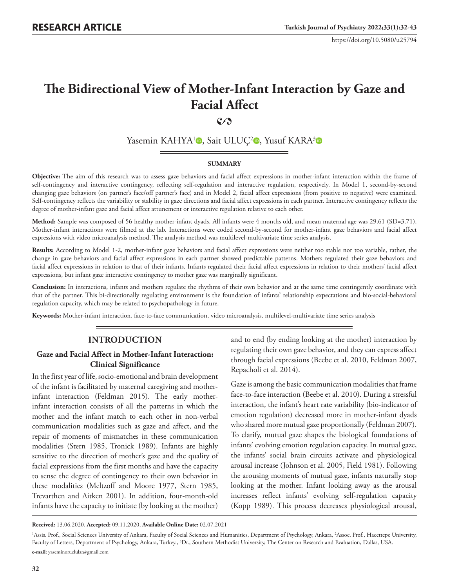# **The Bidirectional View of Mother-Infant Interaction by Gaze and Facial Affect**

# **2**

Yasemin KAHYA<sup>1</sup><sup>o</sup>, Sait ULUÇ<sup>2</sup><sup>o</sup>, Yusuf KARA<sup>3</sup><sup>o</sup>

#### **SUMMARY**

**Objective:** The aim of this research was to assess gaze behaviors and facial affect expressions in mother-infant interaction within the frame of self-contingency and interactive contingency, reflecting self-regulation and interactive regulation, respectively. In Model 1, second-by-second changing gaze behaviors (on partner's face/off partner's face) and in Model 2, facial affect expressions (from positive to negative) were examined. Self-contingency reflects the variability or stability in gaze directions and facial affect expressions in each partner. Interactive contingency reflects the degree of mother-infant gaze and facial affect attunement or interactive regulation relative to each other.

**Method:** Sample was composed of 56 healthy mother-infant dyads. All infants were 4 months old, and mean maternal age was 29.61 (SD=3.71). Mother-infant interactions were filmed at the lab. Interactions were coded second-by-second for mother-infant gaze behaviors and facial affect expressions with video microanalysis method. The analysis method was multilevel-multivariate time series analysis.

**Results:** According to Model 1-2, mother-infant gaze behaviors and facial affect expressions were neither too stable nor too variable, rather, the change in gaze behaviors and facial affect expressions in each partner showed predictable patterns. Mothers regulated their gaze behaviors and facial affect expressions in relation to that of their infants. Infants regulated their facial affect expressions in relation to their mothers' facial affect expressions, but infant gaze interactive contingency to mother gaze was marginally significant.

**Conclusion:** In interactions, infants and mothers regulate the rhythms of their own behavior and at the same time contingently coordinate with that of the partner. This bi-directionally regulating environment is the foundation of infants' relationship expectations and bio-social-behavioral regulation capacity, which may be related to psychopathology in future.

**Keywords:** Mother-infant interaction, face-to-face communication, video microanalysis, multilevel-multivariate time series analysis

# **INTRODUCTION**

## **Gaze and Facial Affect in Mother-Infant Interaction: Clinical Significance**

In the first year of life, socio-emotional and brain development of the infant is facilitated by maternal caregiving and motherinfant interaction (Feldman 2015). The early motherinfant interaction consists of all the patterns in which the mother and the infant match to each other in non-verbal communication modalities such as gaze and affect, and the repair of moments of mismatches in these communication modalities (Stern 1985, Tronick 1989). Infants are highly sensitive to the direction of mother's gaze and the quality of facial expressions from the first months and have the capacity to sense the degree of contingency to their own behavior in these modalities (Meltzoff and Moore 1977, Stern 1985, Trevarthen and Aitken 2001). In addition, four-month-old infants have the capacity to initiate (by looking at the mother)

and to end (by ending looking at the mother) interaction by regulating their own gaze behavior, and they can express affect through facial expressions (Beebe et al. 2010, Feldman 2007, Repacholi et al. 2014).

Gaze is among the basic communication modalities that frame face-to-face interaction (Beebe et al. 2010). During a stressful interaction, the infant's heart rate variability (bio-indicator of emotion regulation) decreased more in mother-infant dyads who shared more mutual gaze proportionally (Feldman 2007). To clarify, mutual gaze shapes the biological foundations of infants' evolving emotion regulation capacity. In mutual gaze, the infants' social brain circuits activate and physiological arousal increase (Johnson et al. 2005, Field 1981). Following the arousing moments of mutual gaze, infants naturally stop looking at the mother. Infant looking away as the arousal increases reflect infants' evolving self-regulation capacity (Kopp 1989). This process decreases physiological arousal,

**Received:** 13.06.2020, **Accepted:** 09.11.2020, **Available Online Date:** 02.07.2021

<sup>&</sup>lt;sup>1</sup>Assis. Prof., Social Sciences University of Ankara, Faculty of Social Sciences and Humanities, Department of Psychology, Ankara, <sup>2</sup>Assoc. Prof., Hacettepe University, Faculty of Letters, Department of Psychology, Ankara, Turkey., 3 Dr., Southern Methodist University, The Center on Research and Evaluation, Dallas, USA. **e-mail:** yaseminoruclular@gmail.com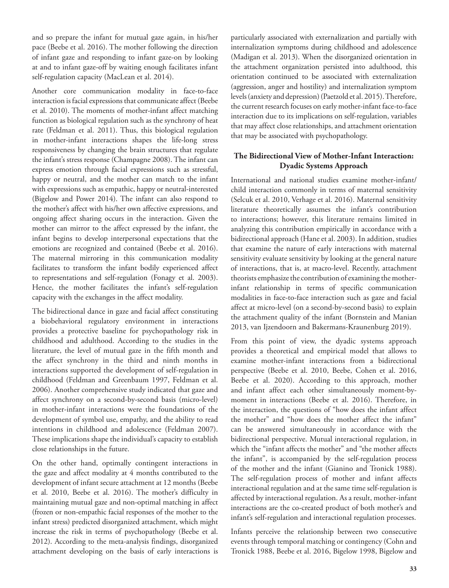and so prepare the infant for mutual gaze again, in his/her pace (Beebe et al. 2016). The mother following the direction of infant gaze and responding to infant gaze-on by looking at and to infant gaze-off by waiting enough facilitates infant self-regulation capacity (MacLean et al. 2014).

Another core communication modality in face-to-face interaction is facial expressions that communicate affect (Beebe et al. 2010). The moments of mother-infant affect matching function as biological regulation such as the synchrony of heat rate (Feldman et al. 2011). Thus, this biological regulation in mother-infant interactions shapes the life-long stress responsiveness by changing the brain structures that regulate the infant's stress response (Champagne 2008). The infant can express emotion through facial expressions such as stressful, happy or neutral, and the mother can match to the infant with expressions such as empathic, happy or neutral-interested (Bigelow and Power 2014). The infant can also respond to the mother's affect with his/her own affective expressions, and ongoing affect sharing occurs in the interaction. Given the mother can mirror to the affect expressed by the infant, the infant begins to develop interpersonal expectations that the emotions are recognized and contained (Beebe et al. 2016). The maternal mirroring in this communication modality facilitates to transform the infant bodily experienced affect to representations and self-regulation (Fonagy et al. 2003). Hence, the mother facilitates the infant's self-regulation capacity with the exchanges in the affect modality.

The bidirectional dance in gaze and facial affect constituting a biobehavioral regulatory environment in interactions provides a protective baseline for psychopathology risk in childhood and adulthood. According to the studies in the literature, the level of mutual gaze in the fifth month and the affect synchrony in the third and ninth months in interactions supported the development of self-regulation in childhood (Feldman and Greenbaum 1997, Feldman et al. 2006). Another comprehensive study indicated that gaze and affect synchrony on a second-by-second basis (micro-level) in mother-infant interactions were the foundations of the development of symbol use, empathy, and the ability to read intentions in childhood and adolescence (Feldman 2007). These implications shape the individual's capacity to establish close relationships in the future.

On the other hand, optimally contingent interactions in the gaze and affect modality at 4 months contributed to the development of infant secure attachment at 12 months (Beebe et al. 2010, Beebe et al. 2016). The mother's difficulty in maintaining mutual gaze and non-optimal matching in affect (frozen or non-empathic facial responses of the mother to the infant stress) predicted disorganized attachment, which might increase the risk in terms of psychopathology (Beebe et al. 2012). According to the meta-analysis findings, disorganized attachment developing on the basis of early interactions is

particularly associated with externalization and partially with internalization symptoms during childhood and adolescence (Madigan et al. 2013). When the disorganized orientation in the attachment organization persisted into adulthood, this orientation continued to be associated with externalization (aggression, anger and hostility) and internalization symptom levels (anxiety and depression) (Paetzold et al. 2015). Therefore, the current research focuses on early mother-infant face-to-face interaction due to its implications on self-regulation, variables that may affect close relationships, and attachment orientation that may be associated with psychopathology.

# **The Bidirectional View of Mother-Infant Interaction: Dyadic Systems Approach**

International and national studies examine mother-infant/ child interaction commonly in terms of maternal sensitivity (Selcuk et al. 2010, Verhage et al. 2016). Maternal sensitivity literature theoretically assumes the infant's contribution to interactions; however, this literature remains limited in analyzing this contribution empirically in accordance with a bidirectional approach (Hane et al. 2003). In addition, studies that examine the nature of early interactions with maternal sensitivity evaluate sensitivity by looking at the general nature of interactions, that is, at macro-level. Recently, attachment theorists emphasize the contribution of examining the motherinfant relationship in terms of specific communication modalities in face-to-face interaction such as gaze and facial affect at micro-level (on a second-by-second basis) to explain the attachment quality of the infant (Bornstein and Manian 2013, van Ijzendoorn and Bakermans-Kraunenburg 2019).

From this point of view, the dyadic systems approach provides a theoretical and empirical model that allows to examine mother-infant interactions from a bidirectional perspective (Beebe et al. 2010, Beebe, Cohen et al. 2016, Beebe et al. 2020). According to this approach, mother and infant affect each other simultaneously moment-bymoment in interactions (Beebe et al. 2016). Therefore, in the interaction, the questions of "how does the infant affect the mother" and "how does the mother affect the infant" can be answered simultaneously in accordance with the bidirectional perspective. Mutual interactional regulation, in which the "infant affects the mother" and "the mother affects the infant", is accompanied by the self-regulation process of the mother and the infant (Gianino and Tronick 1988). The self-regulation process of mother and infant affects interactional regulation and at the same time self-regulation is affected by interactional regulation. As a result, mother-infant interactions are the co-created product of both mother's and infant's self-regulation and interactional regulation processes.

Infants perceive the relationship between two consecutive events through temporal matching or contingency (Cohn and Tronick 1988, Beebe et al. 2016, Bigelow 1998, Bigelow and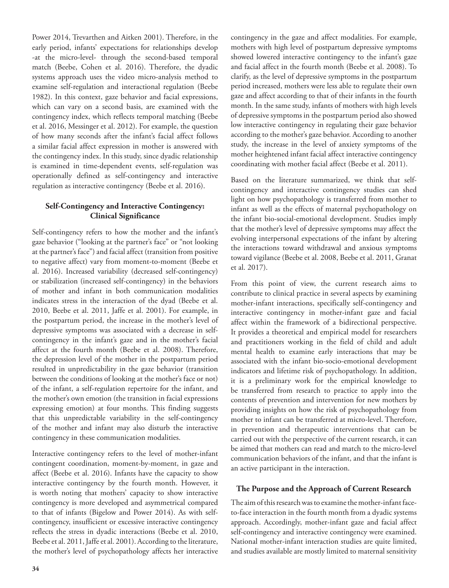Power 2014, Trevarthen and Aitken 2001). Therefore, in the early period, infants' expectations for relationships develop -at the micro-level- through the second-based temporal match (Beebe, Cohen et al. 2016). Therefore, the dyadic systems approach uses the video micro-analysis method to examine self-regulation and interactional regulation (Beebe 1982). In this context, gaze behavior and facial expressions, which can vary on a second basis, are examined with the contingency index, which reflects temporal matching (Beebe et al. 2016, Messinger et al. 2012). For example, the question of how many seconds after the infant's facial affect follows a similar facial affect expression in mother is answered with the contingency index. In this study, since dyadic relationship is examined in time-dependent events, self-regulation was operationally defined as self-contingency and interactive regulation as interactive contingency (Beebe et al. 2016).

## **Self-Contingency and Interactive Contingency: Clinical Significance**

Self-contingency refers to how the mother and the infant's gaze behavior ("looking at the partner's face" or "not looking at the partner's face") and facial affect (transition from positive to negative affect) vary from moment-to-moment (Beebe et al. 2016). Increased variability (decreased self-contingency) or stabilization (increased self-contingency) in the behaviors of mother and infant in both communication modalities indicates stress in the interaction of the dyad (Beebe et al. 2010, Beebe et al. 2011, Jaffe et al. 2001). For example, in the postpartum period, the increase in the mother's level of depressive symptoms was associated with a decrease in selfcontingency in the infant's gaze and in the mother's facial affect at the fourth month (Beebe et al. 2008). Therefore, the depression level of the mother in the postpartum period resulted in unpredictability in the gaze behavior (transition between the conditions of looking at the mother's face or not) of the infant, a self-regulation repertoire for the infant, and the mother's own emotion (the transition in facial expressions expressing emotion) at four months. This finding suggests that this unpredictable variability in the self-contingency of the mother and infant may also disturb the interactive contingency in these communication modalities.

Interactive contingency refers to the level of mother-infant contingent coordination, moment-by-moment, in gaze and affect (Beebe et al. 2016). Infants have the capacity to show interactive contingency by the fourth month. However, it is worth noting that mothers' capacity to show interactive contingency is more developed and asymmetrical compared to that of infants (Bigelow and Power 2014). As with selfcontingency, insufficient or excessive interactive contingency reflects the stress in dyadic interactions (Beebe et al. 2010, Beebe et al. 2011, Jaffe et al. 2001). According to the literature, the mother's level of psychopathology affects her interactive

contingency in the gaze and affect modalities. For example, mothers with high level of postpartum depressive symptoms showed lowered interactive contingency to the infant's gaze and facial affect in the fourth month (Beebe et al. 2008). To clarify, as the level of depressive symptoms in the postpartum period increased, mothers were less able to regulate their own gaze and affect according to that of their infants in the fourth month. In the same study, infants of mothers with high levels of depressive symptoms in the postpartum period also showed low interactive contingency in regulating their gaze behavior according to the mother's gaze behavior. According to another study, the increase in the level of anxiety symptoms of the mother heightened infant facial affect interactive contingency coordinating with mother facial affect (Beebe et al. 2011).

Based on the literature summarized, we think that selfcontingency and interactive contingency studies can shed light on how psychopathology is transferred from mother to infant as well as the effects of maternal psychopathology on the infant bio-social-emotional development. Studies imply that the mother's level of depressive symptoms may affect the evolving interpersonal expectations of the infant by altering the interactions toward withdrawal and anxious symptoms toward vigilance (Beebe et al. 2008, Beebe et al. 2011, Granat et al. 2017).

From this point of view, the current research aims to contribute to clinical practice in several aspects by examining mother-infant interactions, specifically self-contingency and interactive contingency in mother-infant gaze and facial affect within the framework of a bidirectional perspective. It provides a theoretical and empirical model for researchers and practitioners working in the field of child and adult mental health to examine early interactions that may be associated with the infant bio-socio-emotional development indicators and lifetime risk of psychopathology. In addition, it is a preliminary work for the empirical knowledge to be transferred from research to practice to apply into the contents of prevention and intervention for new mothers by providing insights on how the risk of psychopathology from mother to infant can be transferred at micro-level. Therefore, in prevention and therapeutic interventions that can be carried out with the perspective of the current research, it can be aimed that mothers can read and match to the micro-level communication behaviors of the infant, and that the infant is an active participant in the interaction.

## **The Purpose and the Approach of Current Research**

The aim of this research was to examine the mother-infant faceto-face interaction in the fourth month from a dyadic systems approach. Accordingly, mother-infant gaze and facial affect self-contingency and interactive contingency were examined. National mother-infant interaction studies are quite limited, and studies available are mostly limited to maternal sensitivity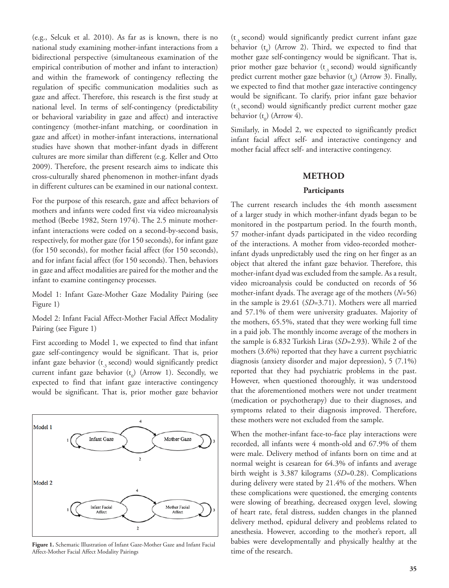(e.g., Selcuk et al. 2010). As far as is known, there is no national study examining mother-infant interactions from a bidirectional perspective (simultaneous examination of the empirical contribution of mother and infant to interaction) and within the framework of contingency reflecting the regulation of specific communication modalities such as gaze and affect. Therefore, this research is the first study at national level. In terms of self-contingency (predictability or behavioral variability in gaze and affect) and interactive contingency (mother-infant matching, or coordination in gaze and affcet) in mother-infant interactions, international studies have shown that mother-infant dyads in different cultures are more similar than different (e.g. Keller and Otto 2009). Therefore, the present research aims to indicate this cross-culturally shared phenomenon in mother-infant dyads in different cultures can be examined in our national context.

For the purpose of this research, gaze and affect behaviors of mothers and infants were coded first via video microanalysis method (Beebe 1982, Stern 1974). The 2.5 minute motherinfant interactions were coded on a second-by-second basis, respectively, for mother gaze (for 150 seconds), for infant gaze (for 150 seconds), for mother facial affect (for 150 seconds), and for infant facial affect (for 150 seconds). Then, behaviors in gaze and affect modalities are paired for the mother and the infant to examine contingency processes.

Model 1: Infant Gaze-Mother Gaze Modality Pairing (see Figure 1)

Model 2: Infant Facial Affect-Mother Facial Affect Modality Pairing (see Figure 1)

First according to Model 1, we expected to find that infant gaze self-contingency would be significant. That is, prior infant gaze behavior ( $t_{3}$  second) would significantly predict current infant gaze behavior  $(t_0)$  (Arrow 1). Secondly, we expected to find that infant gaze interactive contingency would be significant. That is, prior mother gaze behavior



**Figure 1.** Schematic Illustration of Infant Gaze-Mother Gaze and Infant Facial DaDIES WETE GEVEIOF<br>Affect-Mother Facial Affect Modality Pairings **for the research**. Affect-Mother Facial Affect Modality Pairings

 $(t,$  second) would significantly predict current infant gaze behavior  $(t_0)$  (Arrow 2). Third, we expected to find that mother gaze self-contingency would be significant. That is, prior mother gaze behavior  $(t_3$  second) would significantly predict current mother gaze behavior  $(t_0)$  (Arrow 3). Finally, we expected to find that mother gaze interactive contingency would be significant. To clarify, prior infant gaze behavior  $(t<sub>3</sub> second)$  would significantly predict current mother gaze behavior  $(t_0)$  (Arrow 4).

Similarly, in Model 2, we expected to significantly predict infant facial affect self- and interactive contingency and mother facial affect self- and interactive contingency.

#### **METHOD**

#### **Participants**

The current research includes the 4th month assessment of a larger study in which mother-infant dyads began to be monitored in the postpartum period. In the fourth month, 57 mother-infant dyads participated in the video recording of the interactions. A mother from video-recorded motherinfant dyads unpredictably used the ring on her finger as an object that altered the infant gaze behavior. Therefore, this mother-infant dyad was excluded from the sample. As a result, video microanalysis could be conducted on records of 56 mother-infant dyads. The average age of the mothers (*N*=56) in the sample is 29.61 (*SD*=3.71). Mothers were all married and 57.1% of them were university graduates. Majority of the mothers, 65.5%, stated that they were working full time in a paid job. The monthly income average of the mothers in the sample is 6.832 Turkish Liras (*SD*=2.93). While 2 of the mothers (3.6%) reported that they have a current psychiatric diagnosis (anxiety disorder and major depression), 5 (7.1%) reported that they had psychiatric problems in the past. However, when questioned thoroughly, it was understood that the aforementioned mothers were not under treatment (medication or psychotherapy) due to their diagnoses, and symptoms related to their diagnosis improved. Therefore, these mothers were not excluded from the sample.

When the mother-infant face-to-face play interactions were recorded, all infants were 4 month-old and 67.9% of them were male. Delivery method of infants born on time and at normal weight is cesarean for 64.3% of infants and average birth weight is 3.387 kilograms (*SD*=0.28). Complications during delivery were stated by 21.4% of the mothers. When these complications were questioned, the emerging contents were slowing of breathing, decreased oxygen level, slowing of heart rate, fetal distress, sudden changes in the planned delivery method, epidural delivery and problems related to anesthesia. However, according to the mother's report, all babies were developmentally and physically healthy at the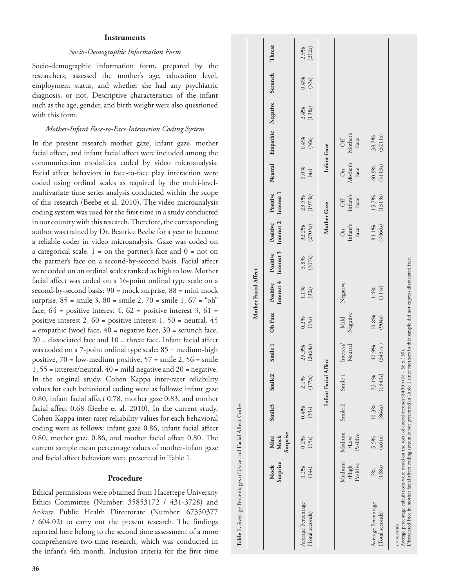#### **Instruments**

## *Socio-Demographic Information Form*

Socio-demographic information form, prepared by the researchers, assessed the mother's age, education level, employment status, and whether she had any psychiatric diagnosis, or not. Descriptive characteristics of the infant such as the age, gender, and birth weight were also questioned with this form.

#### *Mother-Infant Face-to-Face Interaction Coding System*

In the present research mother gaze, infant gaze, mother facial affect, and infant facial affect were included among the communication modalities coded by video microanalysis. Facial affect behaviors in face-to-face play interaction were coded using ordinal scales as required by the multi-levelmultivariate time series analysis conducted within the scope of this research (Beebe et al. 2010). The video microanalysis coding system was used for the first time in a study conducted in our country with this research. Therefore, the corresponding author was trained by Dr. Beatrice Beebe for a year to become a reliable coder in video microanalysis. Gaze was coded on a categorical scale,  $1 =$  on the partner's face and  $0 =$  not on the partner's face on a second-by-second basis. Facial affect were coded on an ordinal scales ranked as high to low. Mother facial affect was coded on a 16-point ordinal type scale on a second-by-second basis: 90 = mock surprise, 88 = mini mock surprise,  $85$  = smile 3,  $80$  = smile 2,  $70$  = smile 1,  $67$  = "oh" face,  $64$  = positive interest 4,  $62$  = positive interest 3,  $61$  = positive interest 2, 60 = positive interest 1, 50 = neutral, 45  $=$  empathic (woe) face,  $40 =$  negative face,  $30 =$  scrunch face, 20 = dissociated face and 10 = threat face. Infant facial affect was coded on a 7-point ordinal type scale: 85 = medium-high positive,  $70 =$  low-medium positive,  $57 =$  smile 2,  $56 =$  smile 1, 55 = interest/neutral, 40 = mild negative and 20 = negative. In the original study, Cohen Kappa inter-rater reliability values for each behavioral coding were as follows: infant gaze 0.80, infant facial affect 0.78, mother gaze 0.83, and mother facial affect 0.68 (Beebe et al. 2010). In the current study, Cohen Kappa inter-rater reliability values for each behavioral coding were as follows: infant gaze 0.86, infant facial affect 0.80, mother gaze 0.86, and mother facial affect 0.80. The current sample mean percentage values of mother-infant gaze and facial affect behaviors were presented in Table 1.

### **Procedure**

Ethical permissions were obtained from Hacettepe University Ethics Committee (Number: 35853172 / 431-3728) and Ankara Public Health Directorate (Number: 67350377 / 604.02) to carry out the present research. The findings reported here belong to the second time assessment of a more comprehensive two-time research, which was conducted in the infant's 4th month. Inclusion criteria for the first time

|                                                                                                                                                                                                                                                           |                             |                            |                 |                  |                      |                  | Mother Facial Affect |                    |                                                         |                                  |                        |                                                |                |                 |                |
|-----------------------------------------------------------------------------------------------------------------------------------------------------------------------------------------------------------------------------------------------------------|-----------------------------|----------------------------|-----------------|------------------|----------------------|------------------|----------------------|--------------------|---------------------------------------------------------|----------------------------------|------------------------|------------------------------------------------|----------------|-----------------|----------------|
|                                                                                                                                                                                                                                                           | Surprise<br>Mock            | Surprise<br>Mock<br>Mini   | Smile3          | <b>Smile2</b>    | Smile 1              | Oh Faze          | Positive             | Positive           | Interest 4 Interest 3 Interest 2 Interest 1<br>Positive | Positive                         | Neutral                | Empathic Negative                              |                | Scrunch         | Threat         |
| Average Percentage<br>(Total seconds)                                                                                                                                                                                                                     | 0.2%<br>(14s)               | 0.2%<br>(15s)              | 0.4%<br>(33s)   | 2.1%<br>(179s)   | (2464s)<br>29.3%     | 0.2%<br>(15s)    | $1.1\%$<br>(90s)     | $3.8%$<br>$(317s)$ | 32.2%<br>(2705s)                                        | 23.5%<br>(1973s)                 | $0.0\%$<br>$(4s)$      | 0.4%<br>(36s)                                  | (198s)<br>2.4% | $0.4%$<br>(33s) | 2.5%<br>(212s) |
|                                                                                                                                                                                                                                                           |                             |                            |                 | Infant Facial    | Affect               |                  |                      |                    | Mother Gaze                                             |                                  |                        | Infant Gaze                                    |                |                 |                |
|                                                                                                                                                                                                                                                           | Medium<br>Positive<br>/High | Medium<br>Positive<br>120W | Smile 2         | Smile            | Interest/<br>Neutral | Negative<br>Mild | Negative             |                    | On<br>Infant's<br>Face                                  | Off<br>Infant's<br>$_{\rm Facc}$ | On<br>Mother's<br>Face | $$\ensuremath{\textrm{Off}}$$ Mother's<br>Face |                |                 |                |
| Average Percentage<br>Total seconds)                                                                                                                                                                                                                      | (168s)<br>2%                | 5.5%<br>(461s)             | 10.3%<br>(864s) | (1940s)<br>23.1% | 40.9%<br>(3437s)     | 10.8%<br>(904s)  | $1.4%$<br>(115s)     |                    | 84.1%<br>(7066s)                                        | (1319s)<br>15.7%                 | (5113s)<br>60.9%       | 38.2%<br>(3211s)                               |                |                 |                |
| Dissociated Face in mother facial affect coding system is not presented in Table 1 since mothers in this sample did not express dissociated face.<br>Average percentage calculations were based on the total of coded seconds: 8400 s (N<br>$s =$ seconds |                             |                            |                 |                  | $= 56 \times 150$ .  |                  |                      |                    |                                                         |                                  |                        |                                                |                |                 |                |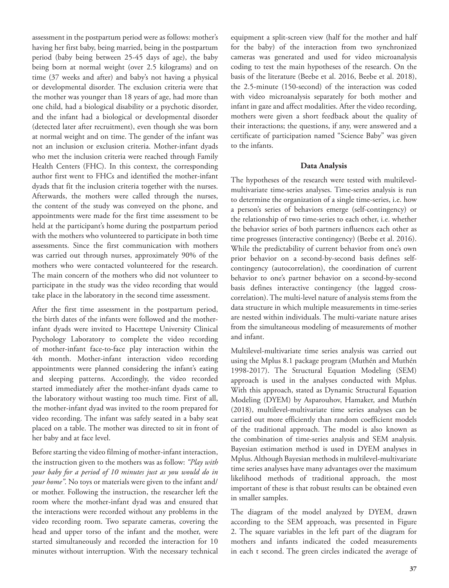assessment in the postpartum period were as follows: mother's having her first baby, being married, being in the postpartum period (baby being between 25-45 days of age), the baby being born at normal weight (over 2.5 kilograms) and on time (37 weeks and after) and baby's not having a physical or developmental disorder. The exclusion criteria were that the mother was younger than 18 years of age, had more than one child, had a biological disability or a psychotic disorder, and the infant had a biological or developmental disorder (detected later after recruitment), even though she was born at normal weight and on time. The gender of the infant was not an inclusion or exclusion criteria. Mother-infant dyads who met the inclusion criteria were reached through Family Health Centers (FHC). In this context, the corresponding author first went to FHCs and identified the mother-infant dyads that fit the inclusion criteria together with the nurses. Afterwards, the mothers were called through the nurses, the content of the study was conveyed on the phone, and appointments were made for the first time assessment to be held at the participant's home during the postpartum period with the mothers who volunteered to participate in both time assessments. Since the first communication with mothers was carried out through nurses, approximately 90% of the mothers who were contacted volunteered for the research. The main concern of the mothers who did not volunteer to participate in the study was the video recording that would take place in the laboratory in the second time assessment.

After the first time assessment in the postpartum period, the birth dates of the infants were followed and the motherinfant dyads were invited to Hacettepe University Clinical Psychology Laboratory to complete the video recording of mother-infant face-to-face play interaction within the 4th month. Mother-infant interaction video recording appointments were planned considering the infant's eating and sleeping patterns. Accordingly, the video recorded started immediately after the mother-infant dyads came to the laboratory without wasting too much time. First of all, the mother-infant dyad was invited to the room prepared for video recording. The infant was safely seated in a baby seat placed on a table. The mother was directed to sit in front of her baby and at face level.

Before starting the video filming of mother-infant interaction, the instruction given to the mothers was as follow: *"Play with your baby for a period of 10 minutes just as you would do in your home"*. No toys or materials were given to the infant and/ or mother. Following the instruction, the researcher left the room where the mother-infant dyad was and ensured that the interactions were recorded without any problems in the video recording room. Two separate cameras, covering the head and upper torso of the infant and the mother, were started simultaneously and recorded the interaction for 10 minutes without interruption. With the necessary technical equipment a split-screen view (half for the mother and half for the baby) of the interaction from two synchronized cameras was generated and used for video microanalysis coding to test the main hypotheses of the research. On the basis of the literature (Beebe et al. 2016, Beebe et al. 2018), the 2.5-minute (150-second) of the interaction was coded with video microanalysis separately for both mother and infant in gaze and affect modalities. After the video recording, mothers were given a short feedback about the quality of their interactions; the questions, if any, were answered and a certificate of participation named "Science Baby" was given to the infants.

## **Data Analysis**

The hypotheses of the research were tested with multilevelmultivariate time-series analyses. Time-series analysis is run to determine the organization of a single time-series, i.e. how a person's series of behaviors emerge (self-contingency) or the relationship of two time-series to each other, i.e. whether the behavior series of both partners influences each other as time progresses (interactive contingency) (Beebe et al. 2016). While the predictability of current behavior from one's own prior behavior on a second-by-second basis defines selfcontingency (autocorrelation), the coordination of current behavior to one's partner behavior on a second-by-second basis defines interactive contingency (the lagged crosscorrelation). The multi-level nature of analysis stems from the data structure in which multiple measurements in time-series are nested within individuals. The multi-variate nature arises from the simultaneous modeling of measurements of mother and infant.

Multilevel-multivariate time series analysis was carried out using the Mplus 8.1 package program (Muthén and Muthén 1998-2017). The Structural Equation Modeling (SEM) approach is used in the analyses conducted with Mplus. With this approach, stated as Dynamic Structural Equation Modeling (DYEM) by Asparouhov, Hamaker, and Muthén (2018), multilevel-multivariate time series analyses can be carried out more efficiently than random coefficient models of the traditional approach. The model is also known as the combination of time-series analysis and SEM analysis. Bayesian estimation method is used in DYEM analyses in Mplus. Although Bayesian methods in multilevel-multivariate time series analyses have many advantages over the maximum likelihood methods of traditional approach, the most important of these is that robust results can be obtained even in smaller samples.

The diagram of the model analyzed by DYEM, drawn according to the SEM approach, was presented in Figure 2. The square variables in the left part of the diagram for mothers and infants indicated the coded measurements in each t second. The green circles indicated the average of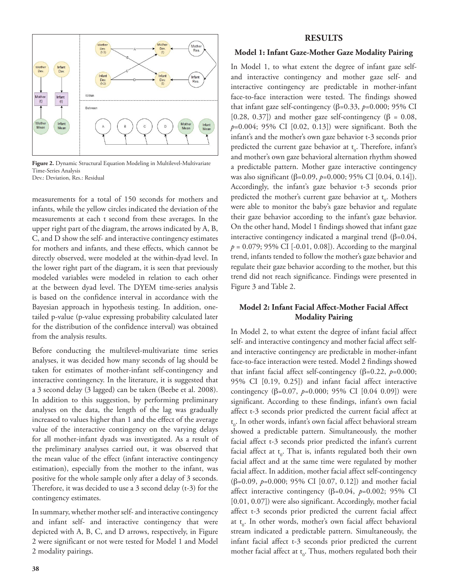

Figure 2. Dynamic Structural Equation Modeling in Multilevel-Multivariate Time-Series Analysis Dev.: Deviation, Res.: Residual

measurements for a total of 150 seconds for mothers and infants, while the yellow circles indicated the deviation of the measurements at each t second from these averages. In the upper right part of the diagram, the arrows indicated by A, B, C, and D show the self- and interactive contingency estimates for mothers and infants, and these effects, which cannot be directly observed, were modeled at the within-dyad level. In the lower right part of the diagram, it is seen that previously modeled variables were modeled in relation to each other at the between dyad level. The DYEM time-series analysis is based on the confidence interval in accordance with the Bayesian approach in hypothesis testing. In addition, onetailed p-value (p-value expressing probability calculated later for the distribution of the confidence interval) was obtained from the analysis results.

Before conducting the multilevel-multivariate time series analyses, it was decided how many seconds of lag should be taken for estimates of mother-infant self-contingency and interactive contingency. In the literature, it is suggested that a 3 second delay (3 lagged) can be taken (Beebe et al. 2008). In addition to this suggestion, by performing preliminary analyses on the data, the length of the lag was gradually increased to values higher than 1 and the effect of the average value of the interactive contingency on the varying delays for all mother-infant dyads was investigated. As a result of the preliminary analyses carried out, it was observed that the mean value of the effect (infant interactive contingency estimation), especially from the mother to the infant, was positive for the whole sample only after a delay of 3 seconds. Therefore, it was decided to use a 3 second delay (t-3) for the contingency estimates.

In summary, whether mother self- and interactive contingency and infant self- and interactive contingency that were depicted with A, B, C, and D arrows, respectively, in Figure 2 were significant or not were tested for Model 1 and Model 2 modality pairings.

## **RESULTS**

#### **Model 1: Infant Gaze-Mother Gaze Modality Pairing**

In Model 1, to what extent the degree of infant gaze selfand interactive contingency and mother gaze self- and interactive contingency are predictable in mother-infant face-to-face interaction were tested. The findings showed that infant gaze self-contingency (β=0.33, *p*=0.000; 95% CI [0.28, 0.37]) and mother gaze self-contingency ( $\beta = 0.08$ , *p*=0.004; 95% CI [0.02, 0.13]) were significant. Both the infant's and the mother's own gaze behavior t-3 seconds prior predicted the current gaze behavior at  $t_0$ . Therefore, infant's and mother's own gaze behavioral alternation rhythm showed a predictable pattern. Mother gaze interactive contingency was also significant (β=0.09, *p*=0.000; 95% CI [0.04, 0.14]). Accordingly, the infant's gaze behavior t-3 seconds prior predicted the mother's current gaze behavior at  $t_0$ . Mothers were able to monitor the baby's gaze behavior and regulate their gaze behavior according to the infant's gaze behavior. On the other hand, Model 1 findings showed that infant gaze interactive contingency indicated a marginal trend (β=0.04,  $p = 0.079$ ; 95% CI [-0.01, 0.08]). According to the marginal trend, infants tended to follow the mother's gaze behavior and regulate their gaze behavior according to the mother, but this trend did not reach significance. Findings were presented in Figure 3 and Table 2.

## **Model 2: Infant Facial Affect-Mother Facial Affect Modality Pairing**

In Model 2, to what extent the degree of infant facial affect self- and interactive contingency and mother facial affect selfand interactive contingency are predictable in mother-infant face-to-face interaction were tested. Model 2 findings showed that infant facial affect self-contingency (β=0.22, *p*=0.000; 95% CI [0.19, 0.25]) and infant facial affect interactive contingency (β=0.07, *p*=0.000; 95% CI [0.04 0.09]) were significant. According to these findings, infant's own facial affect t-3 seconds prior predicted the current facial affect at t 0 . In other words, infant's own facial affect behavioral stream showed a predictable pattern. Simultaneously, the mother facial affect t-3 seconds prior predicted the infant's current facial affect at  $t_0$ . That is, infants regulated both their own facial affect and at the same time were regulated by mother facial affect. In addition, mother facial affect self-contingency (β=0.09, *p*=0.000; 95% CI [0.07, 0.12]) and mother facial affect interactive contingency (β=0.04, *p*=0.002; 95% CI [0.01, 0.07]) were also significant. Accordingly, mother facial affect t-3 seconds prior predicted the current facial affect at  $t_0$ . In other words, mother's own facial affect behavioral stream indicated a predictable pattern. Simultaneously, the infant facial affect t-3 seconds prior predicted the current mother facial affect at  $t_0$ . Thus, mothers regulated both their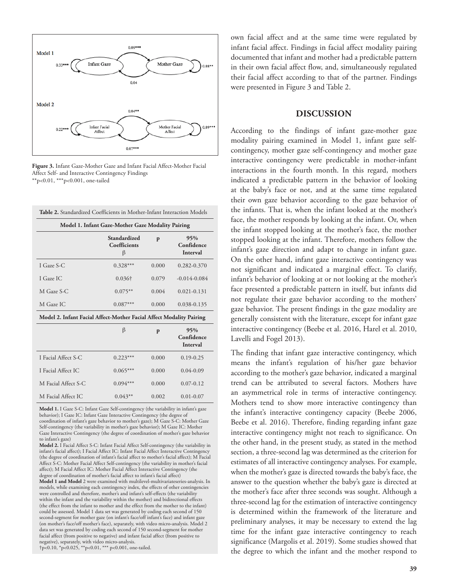

**Figure 3.** Infant Gaze-Mother Gaze and Infant Facial Affect-Mother Facial Affect Self- and Interactive Contingency Findings \*\*p<0.01, \*\*\*p<0.001, one-tailed

| Table 2. Standardized Coefficients in Mother-Infant Interaction Models |                                                   |       |                                      |
|------------------------------------------------------------------------|---------------------------------------------------|-------|--------------------------------------|
|                                                                        | Model 1. Infant Gaze-Mother Gaze Modality Pairing |       |                                      |
|                                                                        | Standardized<br>Coefficients<br>β                 | p     | 95%<br>Confidence<br><b>Interval</b> |
| I Gaze S-C                                                             | $0.328***$                                        | 0.000 | 0.282-0.370                          |
| I Gaze IC                                                              | $0.036\dagger$                                    | 0.079 | $-0.014 - 0.084$                     |
| M Gaze S-C                                                             | $0.075***$                                        | 0.004 | $0.021 - 0.131$                      |
| M Gaze IC                                                              | $0.087***$                                        | 0.000 | 0.038-0.135                          |
| Model 2. Infant Facial Affect-Mother Facial Affect Modality Pairing    |                                                   |       |                                      |
|                                                                        | $\beta$                                           | p     | 95%<br>Confidence<br><b>Interval</b> |
| I Facial Affect S-C                                                    | $0.223***$                                        | 0.000 | $0.19 - 0.25$                        |
| I Facial Affect IC                                                     | $0.065***$                                        | 0.000 | $0.04 - 0.09$                        |
| M Facial Affect S-C                                                    | $0.094***$                                        | 0.000 | $0.07 - 0.12$                        |
| M Facial Affect IC                                                     | $0.043**$                                         | 0.002 | $0.01 - 0.07$                        |

**Model 1.** I Gaze S-C: Infant Gaze Self-contingency (the variability in infant's gaze behavior); I Gaze IC: Infant Gaze Interactive Contingency (the degree of coordination of infant's gaze behavior to mother's gaze); M Gaze S-C: Mother Gaze Self-contingency (the variability in mother's gaze behavior); M Gaze IC: Mother Gaze Interactive Contingency (the degree of coordination of mother's gaze behavior to infant's gaze)

**Model 2.** I Facial Affect S-C: Infant Facial Affect Self-contingency (the variability in infant's facial affect); I Facial Affect IC: Infant Facial Affect Interactive Contingency (the degree of coordination of infant's facial affect to mother's facial affect); M Facial Affect S-C: Mother Facial Affect Self-contingency (the variability in mother's facial affect); M Facial Affect IC: Mother Facial Affect Interactive Contingency (the degree of coordination of mother's facial affect to infant's facial affect)

**Model 1 and Model** 2 were examined with multilevel-multivariateseries-analysis. In models, while examining each contingency index, the effects of other contingencies were controlled and therefore, mother's and infant's self-effects (the variability within the infant and the variability within the mother) and bidirectional effects (the effect from the infant to mother and the effect from the mother to the infant) could be assessed. Model 1 data set was generated by coding each second of 150 second-segment for mother gaze (on infant's face/off infant's face) and infant gaze (on mother's face/off mother's face), separately, with video micro-analysis. Model 2 data set was generated by coding each second of 150 second-segment for mother facial affect (from positive to negative) and infant facial affect (from positive to negative), separately, with video micro-analysis. †p<0.10, \*p<0.025, \*\*p<0.01, \*\*\* p<0.001, one-tailed.

own facial affect and at the same time were regulated by infant facial affect. Findings in facial affect modality pairing documented that infant and mother had a predictable pattern in their own facial affect flow, and, simultaneously regulated their facial affect according to that of the partner. Findings were presented in Figure 3 and Table 2.

#### **DISCUSSION**

According to the findings of infant gaze-mother gaze modality pairing examined in Model 1, infant gaze selfcontingency, mother gaze self-contingency and mother gaze interactive contingency were predictable in mother-infant interactions in the fourth month. In this regard, mothers indicated a predictable pattern in the behavior of looking at the baby's face or not, and at the same time regulated their own gaze behavior according to the gaze behavior of the infants. That is, when the infant looked at the mother's face, the mother responds by looking at the infant. Or, when the infant stopped looking at the mother's face, the mother stopped looking at the infant. Therefore, mothers follow the infant's gaze direction and adapt to change in infant gaze. On the other hand, infant gaze interactive contingency was not significant and indicated a marginal effect. To clarify, infant's behavior of looking at or not looking at the mother's face presented a predictable pattern in itself, but infants did not regulate their gaze behavior according to the mothers' gaze behavior. The present findings in the gaze modality are generally consistent with the literature, except for infant gaze interactive contingency (Beebe et al. 2016, Harel et al. 2010, Lavelli and Fogel 2013).

The finding that infant gaze interactive contingency, which means the infant's regulation of his/her gaze behavior according to the mother's gaze behavior, indicated a marginal trend can be attributed to several factors. Mothers have an asymmetrical role in terms of interactive contingency. Mothers tend to show more interactive contingency than the infant's interactive contingency capacity (Beebe 2006, Beebe et al. 2016). Therefore, finding regarding infant gaze interactive contingency might not reach to significance. On the other hand, in the present study, as stated in the method section, a three-second lag was determined as the criterion for estimates of all interactive contingency analyses. For example, when the mother's gaze is directed towards the baby's face, the answer to the question whether the baby's gaze is directed at the mother's face after three seconds was sought. Although a three-second lag for the estimation of interactive contingency is determined within the framework of the literature and preliminary analyses, it may be necessary to extend the lag time for the infant gaze interactive contingency to reach significance (Margolis et al. 2019). Some studies showed that the degree to which the infant and the mother respond to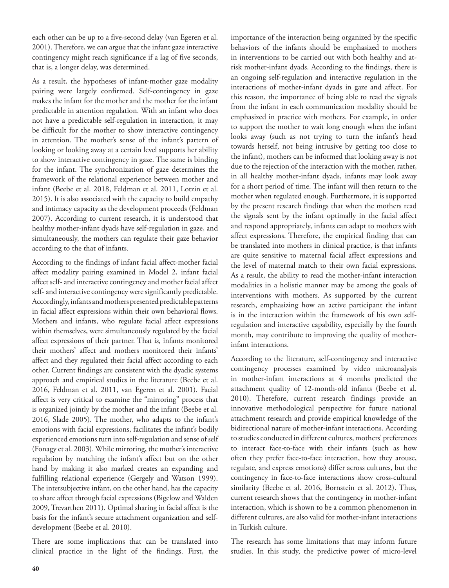each other can be up to a five-second delay (van Egeren et al. 2001). Therefore, we can argue that the infant gaze interactive contingency might reach significance if a lag of five seconds, that is, a longer delay, was determined.

As a result, the hypotheses of infant-mother gaze modality pairing were largely confirmed. Self-contingency in gaze makes the infant for the mother and the mother for the infant predictable in attention regulation. With an infant who does not have a predictable self-regulation in interaction, it may be difficult for the mother to show interactive contingency in attention. The mother's sense of the infant's pattern of looking or looking away at a certain level supports her ability to show interactive contingency in gaze. The same is binding for the infant. The synchronization of gaze determines the framework of the relational experience between mother and infant (Beebe et al. 2018, Feldman et al. 2011, Lotzin et al. 2015). It is also associated with the capacity to build empathy and intimacy capacity as the development proceeds (Feldman 2007). According to current research, it is understood that healthy mother-infant dyads have self-regulation in gaze, and simultaneously, the mothers can regulate their gaze behavior according to the that of infants.

According to the findings of infant facial affect-mother facial affect modality pairing examined in Model 2, infant facial affect self- and interactive contingency and mother facial affect self- and interactive contingency were significantly predictable. Accordingly, infants and mothers presented predictable patterns in facial affect expressions within their own behavioral flows. Mothers and infants, who regulate facial affect expressions within themselves, were simultaneously regulated by the facial affect expressions of their partner. That is, infants monitored their mothers' affect and mothers monitored their infants' affect and they regulated their facial affect according to each other. Current findings are consistent with the dyadic systems approach and empirical studies in the literature (Beebe et al. 2016, Feldman et al. 2011, van Egeren et al. 2001). Facial affect is very critical to examine the "mirroring" process that is organized jointly by the mother and the infant (Beebe et al. 2016, Slade 2005). The mother, who adapts to the infant's emotions with facial expressions, facilitates the infant's bodily experienced emotions turn into self-regulation and sense of self (Fonagy et al. 2003). While mirroring, the mother's interactive regulation by matching the infant's affect but on the other hand by making it also marked creates an expanding and fulfilling relational experience (Gergely and Watson 1999). The intersubjective infant, on the other hand, has the capacity to share affect through facial expressions (Bigelow and Walden 2009, Trevarthen 2011). Optimal sharing in facial affect is the basis for the infant's secure attachment organization and selfdevelopment (Beebe et al. 2010).

There are some implications that can be translated into clinical practice in the light of the findings. First, the importance of the interaction being organized by the specific behaviors of the infants should be emphasized to mothers in interventions to be carried out with both healthy and atrisk mother-infant dyads. According to the findings, there is an ongoing self-regulation and interactive regulation in the interactions of mother-infant dyads in gaze and affect. For this reason, the importance of being able to read the signals from the infant in each communication modality should be emphasized in practice with mothers. For example, in order to support the mother to wait long enough when the infant looks away (such as not trying to turn the infant's head towards herself, not being intrusive by getting too close to the infant), mothers can be informed that looking away is not due to the rejection of the interaction with the mother, rather, in all healthy mother-infant dyads, infants may look away for a short period of time. The infant will then return to the mother when regulated enough. Furthermore, it is supported by the present research findings that when the mothers read the signals sent by the infant optimally in the facial affect and respond appropriately, infants can adapt to mothers with affect expressions. Therefore, the empirical finding that can be translated into mothers in clinical practice, is that infants are quite sensitive to maternal facial affect expressions and the level of maternal match to their own facial expressions. As a result, the ability to read the mother-infant interaction modalities in a holistic manner may be among the goals of interventions with mothers. As supported by the current research, emphasizing how an active participant the infant is in the interaction within the framework of his own selfregulation and interactive capability, especially by the fourth month, may contribute to improving the quality of motherinfant interactions.

According to the literature, self-contingency and interactive contingency processes examined by video microanalysis in mother-infant interactions at 4 months predicted the attachment quality of 12-month-old infants (Beebe et al. 2010). Therefore, current research findings provide an innovative methodological perspective for future national attachment research and provide empirical knowledge of the bidirectional nature of mother-infant interactions. According to studies conducted in different cultures, mothers' preferences to interact face-to-face with their infants (such as how often they prefer face-to-face interaction, how they arouse, regulate, and express emotions) differ across cultures, but the contingency in face-to-face interactions show cross-cultural similarity (Beebe et al. 2016, Bornstein et al. 2012). Thus, current research shows that the contingency in mother-infant interaction, which is shown to be a common phenomenon in different cultures, are also valid for mother-infant interactions in Turkish culture.

The research has some limitations that may inform future studies. In this study, the predictive power of micro-level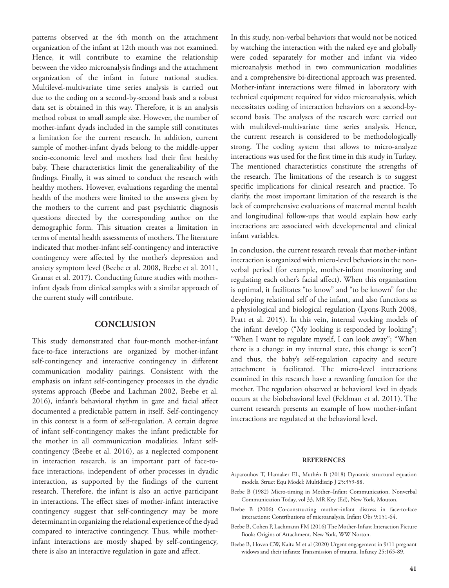patterns observed at the 4th month on the attachment organization of the infant at 12th month was not examined. Hence, it will contribute to examine the relationship between the video microanalysis findings and the attachment organization of the infant in future national studies. Multilevel-multivariate time series analysis is carried out due to the coding on a second-by-second basis and a robust data set is obtained in this way. Therefore, it is an analysis method robust to small sample size. However, the number of mother-infant dyads included in the sample still constitutes a limitation for the current research. In addition, current sample of mother-infant dyads belong to the middle-upper socio-economic level and mothers had their first healthy baby. These characteristics limit the generalizability of the findings. Finally, it was aimed to conduct the research with healthy mothers. However, evaluations regarding the mental health of the mothers were limited to the answers given by the mothers to the current and past psychiatric diagnosis questions directed by the corresponding author on the demographic form. This situation creates a limitation in terms of mental health assessments of mothers. The literature indicated that mother-infant self-contingency and interactive contingency were affected by the mother's depression and anxiety symptom level (Beebe et al. 2008, Beebe et al. 2011, Granat et al. 2017). Conducting future studies with motherinfant dyads from clinical samples with a similar approach of the current study will contribute.

# **CONCLUSION**

This study demonstrated that four-month mother-infant face-to-face interactions are organized by mother-infant self-contingency and interactive contingency in different communication modality pairings. Consistent with the emphasis on infant self-contingency processes in the dyadic systems approach (Beebe and Lachman 2002, Beebe et al. 2016), infant's behavioral rhythm in gaze and facial affect documented a predictable pattern in itself. Self-contingency in this context is a form of self-regulation. A certain degree of infant self-contingency makes the infant predictable for the mother in all communication modalities. Infant selfcontingency (Beebe et al. 2016), as a neglected component in interaction research, is an important part of face-toface interactions, independent of other processes in dyadic interaction, as supported by the findings of the current research. Therefore, the infant is also an active participant in interactions. The effect sizes of mother-infant interactive contingency suggest that self-contingency may be more determinant in organizing the relational experience of the dyad compared to interactive contingency. Thus, while motherinfant interactions are mostly shaped by self-contingency, there is also an interactive regulation in gaze and affect.

In this study, non-verbal behaviors that would not be noticed by watching the interaction with the naked eye and globally were coded separately for mother and infant via video microanalysis method in two communication modalities and a comprehensive bi-directional approach was presented. Mother-infant interactions were filmed in laboratory with technical equipment required for video microanalysis, which necessitates coding of interaction behaviors on a second-bysecond basis. The analyses of the research were carried out with multilevel-multivariate time series analysis. Hence, the current research is considered to be methodologically strong. The coding system that allows to micro-analyze interactions was used for the first time in this study in Turkey. The mentioned characteristics constitute the strengths of the research. The limitations of the research is to suggest specific implications for clinical research and practice. To clarify, the most important limitation of the research is the lack of comprehensive evaluations of maternal mental health and longitudinal follow-ups that would explain how early interactions are associated with developmental and clinical infant variables.

In conclusion, the current research reveals that mother-infant interaction is organized with micro-level behaviors in the nonverbal period (for example, mother-infant monitoring and regulating each other's facial affect). When this organization is optimal, it facilitates "to know" and "to be known" for the developing relational self of the infant, and also functions as a physiological and biological regulation (Lyons-Ruth 2008, Pratt et al. 2015). In this vein, internal working models of the infant develop ("My looking is responded by looking"; "When I want to regulate myself, I can look away"; "When there is a change in my internal state, this change is seen") and thus, the baby's self-regulation capacity and secure attachment is facilitated. The micro-level interactions examined in this research have a rewarding function for the mother. The regulation observed at behavioral level in dyads occurs at the biobehavioral level (Feldman et al. 2011). The current research presents an example of how mother-infant interactions are regulated at the behavioral level.

#### **REFERENCES**

- Asparouhov T, Hamaker EL, Muthén B (2018) Dynamic structural equation models. Struct Equ Model: Multidiscip J 25:359-88.
- Beebe B (1982) Micro-timing in Mother–Infant Communication. Nonverbal Communication Today, vol 33, MR Key (Ed), New York, Mouton.
- Beebe B (2006) Co-constructing mother–infant distress in face-to-face interactions: Contributions of microanalysis. Infant Obs 9:151-64.
- Beebe B, Cohen P, Lachmann FM (2016) The Mother-Infant Interaction Picture Book: Origins of Attachment. New York, WW Norton.
- Beebe B, Hoven CW, Kaitz M et al (2020) Urgent engagement in 9/11 pregnant widows and their infants: Transmission of trauma. Infancy 25:165-89.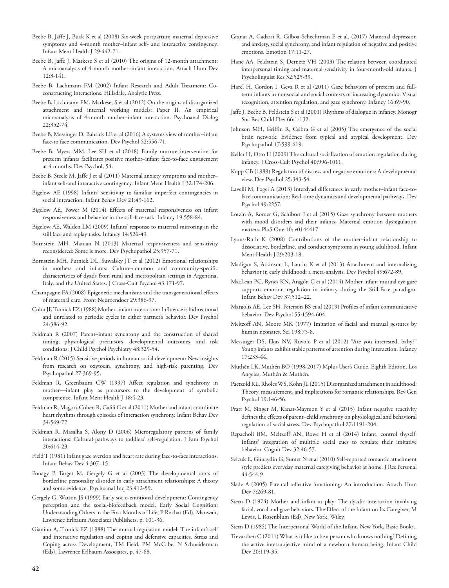- Beebe B, Jaffe J, Buck K et al (2008) Six-week postpartum maternal depressive symptoms and 4‐month mother–infant self‐ and interactive contingency. Infant Ment Health J 29:442-71.
- Beebe B, Jaffe J, Markese S et al (2010) The origins of 12-month attachment: A microanalysis of 4-month mother–infant interaction. Attach Hum Dev 12:3-141.
- Beebe B, Lachmann FM (2002) Infant Research and Adult Treatment: Coconstructing Interactions. Hillsdale, Analytic Press.
- Beebe B, Lachmann FM, Markese, S et al (2012) On the origins of disorganized attachment and internal working models: Paper II. An empirical microanalysis of 4-month mother–infant interaction. Psychoanal Dialog 22:352-74.
- Beebe B, Messinger D, Bahrick LE et al (2016) A systems view of mother–infant face-to face communication. Dev Psychol 52:556-71.
- Beebe B, Myers MM, Lee SH et al (2018) Family nurture intervention for preterm infants facilitates positive mother–infant face-to-face engagement at 4 months. Dev Psychol, 54.
- Beebe B, Steele M, Jaffe J et al (2011) Maternal anxiety symptoms and mother– infant self‐and interactive contingency. Infant Ment Health J 32:174-206.
- Bigelow AE (1998) Infants' sensitivity to familiar imperfect contingencies in social interaction. Infant Behav Dev 21:49-162.
- Bigelow AE, Power M (2014) Effects of maternal responsiveness on infant responsiveness and behavior in the still‐face task. Infancy 19:558-84.
- Bigelow AE, Walden LM (2009) Infants' response to maternal mirroring in the still face and replay tasks. Infancy 14:526-49.
- Bornstein MH, Manian N (2013) Maternal responsiveness and sensitivity reconsidered: Some is more. Dev Psychopathol 25:957-71.
- Bornstein MH, Putnick DL, Suwalsky JT et al (2012) Emotional relationships in mothers and infants: Culture-common and community-specific characteristics of dyads from rural and metropolitan settings in Argentina, Italy, and the United States. J Cross-Cult Psychol 43:171-97.
- Champagne FA (2008) Epigenetic mechanisms and the transgenerational effects of maternal care. Front Neuroendocr 29:386-97.
- Cohn JF, Tronick EZ (1988) Mother–infant interaction: Influence is bidirectional and unrelated to periodic cycles in either partner's behavior. Dev Psychol 24:386-92.
- Feldman R (2007) Parent–infant synchrony and the construction of shared timing; physiological precursors, developmental outcomes, and risk conditions. J Child Psychol Psychiatry 48:329-54.
- Feldman R (2015) Sensitive periods in human social development: New insights from research on oxytocin, synchrony, and high-risk parenting. Dev Psychopathol 27:369-95.
- Feldman R, Greenbaum CW (1997) Affect regulation and synchrony in mother—infant play as precursors to the development of symbolic competence. Infant Ment Health J 18:4-23.
- Feldman R, Magori-Cohen R, Galili G et al (2011) Mother and infant coordinate heart rhythms through episodes of interaction synchrony. Infant Behav Dev 34:569-77.
- Feldman R, Masalha S, Alony D (2006) Microregulatory patterns of family interactions: Cultural pathways to toddlers' self-regulation. J Fam Psychol 20:614-23.
- Field T (1981) Infant gaze aversion and heart rate during face-to-face interactions. Infant Behav Dev 4:307–15.
- Fonagy P, Target M, Gergely G et al (2003) The developmental roots of borderline personality disorder in early attachment relationships: A theory and some evidence. Psychoanal Inq 23:412-59.
- Gergely G, Watson JS (1999) Early socio-emotional development: Contingency perception and the social-biofeedback model. Early Social Cognition: Understanding Others in the First Months of Life, P Rochat (Ed), Manwah, Lawrence Erlbaum Associates Publishers, p. 101-36.
- Gianino A, Tronick EZ (1988) The mutual regulation model: The infant's self and interactive regulation and coping and defensive capacities. Stress and Coping across Development, TM Field, PM McCabe, N Schneiderman (Eds), Lawrence Erlbaum Associates, p. 47-68.
- Granat A, Gadassi R, Gilboa-Schechtman E et al. (2017) Maternal depression and anxiety, social synchrony, and infant regulation of negative and positive emotions. Emotion 17:11-27.
- Hane AA, Feldstein S, Dernetz VH (2003) The relation between coordinated interpersonal timing and maternal sensitivity in four-month-old infants. J Psycholinguist Res 32:525-39.
- Harel H, Gordon I, Geva R et al (2011) Gaze behaviors of preterm and fullterm infants in nonsocial and social contexts of increasing dynamics: Visual recognition, attention regulation, and gaze synchrony. Infancy 16:69-90.
- Jaffe J, Beebe B, Feldstein S et al (2001) Rhythms of dialogue in infancy. Monogr Soc Res Child Dev 66:1-132.
- Johnson MH, Griffin R, Csibra G et al (2005) The emergence of the social brain network: Evidence from typical and atypical development. Dev Psychopathol 17:599-619.
- Keller H, Otto H (2009) The cultural socialization of emotion regulation during infancy. J Cross-Cult Psychol 40:996-1011.
- Kopp CB (1989) Regulation of distress and negative emotions: A developmental view. Dev Psychol 25:343-54.
- Lavelli M, Fogel A (2013) Interdyad differences in early mother–infant face-toface communication: Real-time dynamics and developmental pathways. Dev Psychol 49:2257.
- Lotzin A, Romer G, Schiborr J et al (2015) Gaze synchrony between mothers with mood disorders and their infants: Maternal emotion dysregulation matters. PloS One 10: e0144417.
- Lyons‐Ruth K (2008) Contributions of the mother–infant relationship to dissociative, borderline, and conduct symptoms in young adulthood. Infant Ment Health J 29:203-18.
- Madigan S, Atkinson L, Laurin K et al (2013) Attachment and internalizing behavior in early childhood: a meta-analysis. Dev Psychol 49:672-89.
- MacLean PC, Rynes KN, Aragón C et al (2014) Mother infant mutual eye gaze supports emotion regulation in infancy during the Still-Face paradigm. Infant Behav Dev 37:512–22.
- Margolis AE, Lee SH, Peterson BS et al (2019) Profiles of infant communicative behavior. Dev Psychol 55:1594-604.
- Meltzoff AN, Moore MK (1977) Imitation of facial and manual gestures by human neonates. Sci 198:75-8.
- Messinger DS, Ekas NV, Ruvolo P et al (2012) "Are you interested, baby?" Young infants exhibit stable patterns of attention during interaction. Infancy 17:233-44.
- Muthén LK, Muthén BO (1998-2017) Mplus User's Guide. Eighth Edition. Los Angeles, Muthén & Muthén.
- Paetzold RL, Rholes WS, Kohn JL (2015) Disorganized attachment in adulthood: Theory, measurement, and implications for romantic relationships. Rev Gen Psychol 19:146-56.
- Pratt M, Singer M, Kanat-Maymon Y et al (2015) Infant negative reactivity defines the effects of parent–child synchrony on physiological and behavioral regulation of social stress. Dev Psychopathol 27:1191-204.
- Repacholi BM, Meltzoff AN, Rowe H et al (2014) Infant, control thyself: Infants' integration of multiple social cues to regulate their imitative behavior. Cognit Dev 32:46-57.
- Selcuk E, Günaydin G, Sumer N et al (2010) Self-reported romantic attachment style predicts everyday maternal caregiving behavior at home. J Res Personal 44:544-9.
- Slade A (2005) Parental reflective functioning: An introduction. Attach Hum Dev 7:269-81.
- Stern D (1974) Mother and infant at play: The dyadic interaction involving facial, vocal and gaze behaviors. The Effect of the Infant on Its Caregiver, M Lewis, L Rosenblum (Ed), New York, Wiley.
- Stern D (1985) The Interpersonal World of the Infant. New York, Basic Books.
- Trevarthen C (2011) What is it like to be a person who knows nothing? Defining the active intersubjective mind of a newborn human being. Infant Child Dev 20:119-35.